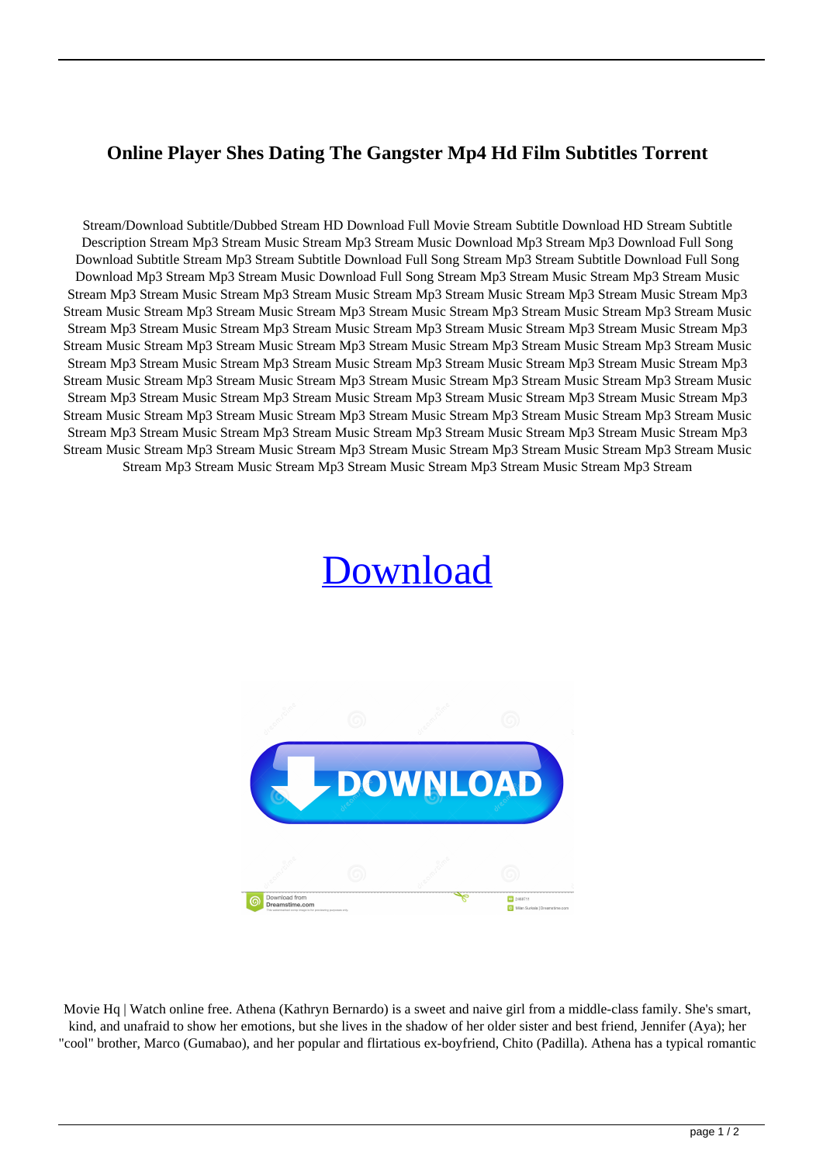## **Online Player Shes Dating The Gangster Mp4 Hd Film Subtitles Torrent**

Stream/Download Subtitle/Dubbed Stream HD Download Full Movie Stream Subtitle Download HD Stream Subtitle Description Stream Mp3 Stream Music Stream Mp3 Stream Music Download Mp3 Stream Mp3 Download Full Song Download Subtitle Stream Mp3 Stream Subtitle Download Full Song Stream Mp3 Stream Subtitle Download Full Song Download Mp3 Stream Mp3 Stream Music Download Full Song Stream Mp3 Stream Music Stream Mp3 Stream Music Stream Mp3 Stream Music Stream Mp3 Stream Music Stream Mp3 Stream Music Stream Mp3 Stream Music Stream Mp3 Stream Music Stream Mp3 Stream Music Stream Mp3 Stream Music Stream Mp3 Stream Music Stream Mp3 Stream Music Stream Mp3 Stream Music Stream Mp3 Stream Music Stream Mp3 Stream Music Stream Mp3 Stream Music Stream Mp3 Stream Music Stream Mp3 Stream Music Stream Mp3 Stream Music Stream Mp3 Stream Music Stream Mp3 Stream Music Stream Mp3 Stream Music Stream Mp3 Stream Music Stream Mp3 Stream Music Stream Mp3 Stream Music Stream Mp3 Stream Music Stream Mp3 Stream Music Stream Mp3 Stream Music Stream Mp3 Stream Music Stream Mp3 Stream Music Stream Mp3 Stream Music Stream Mp3 Stream Music Stream Mp3 Stream Music Stream Mp3 Stream Music Stream Mp3 Stream Music Stream Mp3 Stream Music Stream Mp3 Stream Music Stream Mp3 Stream Music Stream Mp3 Stream Music Stream Mp3 Stream Music Stream Mp3 Stream Music Stream Mp3 Stream Music Stream Mp3 Stream Music Stream Mp3 Stream Music Stream Mp3 Stream Music Stream Mp3 Stream Music Stream Mp3 Stream Music Stream Mp3 Stream Music Stream Mp3 Stream Music Stream Mp3 Stream Music Stream Mp3 Stream Music Stream Mp3 Stream

## [Download](http://evacdir.com/druginfo.durocher/SEQgT25saW5lIFBsYXllciAoU2hlcyBEYXRpbmcgVGhlIEdhbmdzdGVyIEZ1bGwgTW92aWUgKQSEQ/khosla/freewheeling/rance.tiggo/ZG93bmxvYWR8S2o1TWpKdmVYeDhNVFkxTWpjME1EZzJObng4TWpVM05IeDhLRTBwSUhKbFlXUXRZbXh2WnlCYlJtRnpkQ0JIUlU1ZA.wesleyan)



Movie Hq | Watch online free. Athena (Kathryn Bernardo) is a sweet and naive girl from a middle-class family. She's smart, kind, and unafraid to show her emotions, but she lives in the shadow of her older sister and best friend, Jennifer (Aya); her "cool" brother, Marco (Gumabao), and her popular and flirtatious ex-boyfriend, Chito (Padilla). Athena has a typical romantic